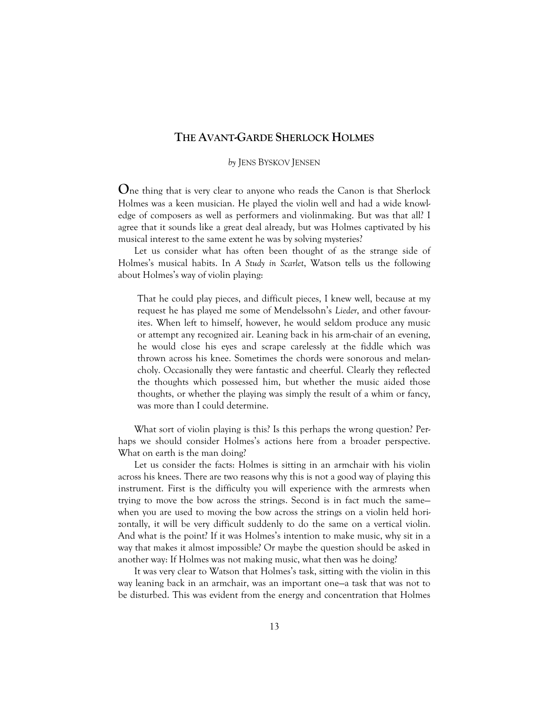## **THE AVANT-GARDE SHERLOCK HOLMES**

## *by* JENS BYSKOV JENSEN

**O**ne thing that is very clear to anyone who reads the Canon is that Sherlock Holmes was a keen musician. He played the violin well and had a wide knowledge of composers as well as performers and violinmaking. But was that all? I agree that it sounds like a great deal already, but was Holmes captivated by his musical interest to the same extent he was by solving mysteries?

Let us consider what has often been thought of as the strange side of Holmes's musical habits. In *A Study in Scarlet*, Watson tells us the following about Holmes's way of violin playing:

That he could play pieces, and difficult pieces, I knew well, because at my request he has played me some of Mendelssohn's *Lieder*, and other favourites. When left to himself, however, he would seldom produce any music or attempt any recognized air. Leaning back in his arm-chair of an evening, he would close his eyes and scrape carelessly at the fiddle which was thrown across his knee. Sometimes the chords were sonorous and melancholy. Occasionally they were fantastic and cheerful. Clearly they reflected the thoughts which possessed him, but whether the music aided those thoughts, or whether the playing was simply the result of a whim or fancy, was more than I could determine.

What sort of violin playing is this? Is this perhaps the wrong question? Perhaps we should consider Holmes's actions here from a broader perspective. What on earth is the man doing?

Let us consider the facts: Holmes is sitting in an armchair with his violin across his knees. There are two reasons why this is not a good way of playing this instrument. First is the difficulty you will experience with the armrests when trying to move the bow across the strings. Second is in fact much the same when you are used to moving the bow across the strings on a violin held horizontally, it will be very difficult suddenly to do the same on a vertical violin. And what is the point? If it was Holmes's intention to make music, why sit in a way that makes it almost impossible? Or maybe the question should be asked in another way: If Holmes was not making music, what then was he doing?

It was very clear to Watson that Holmes's task, sitting with the violin in this way leaning back in an armchair, was an important one—a task that was not to be disturbed. This was evident from the energy and concentration that Holmes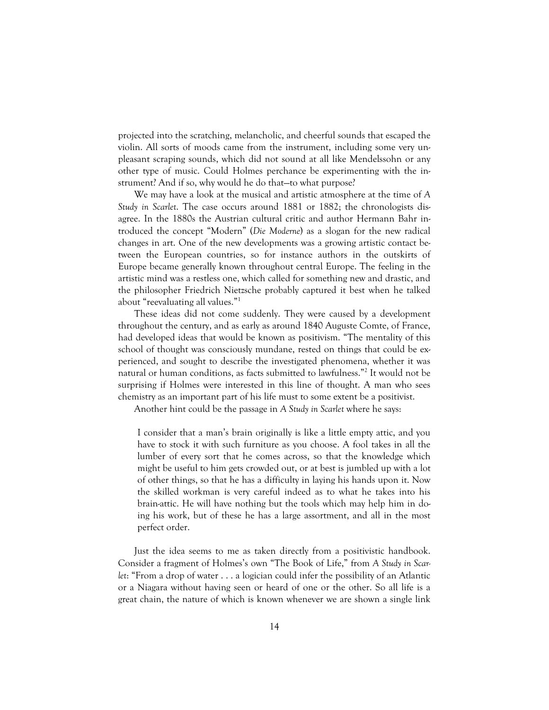projected into the scratching, melancholic, and cheerful sounds that escaped the violin. All sorts of moods came from the instrument, including some very unpleasant scraping sounds, which did not sound at all like Mendelssohn or any other type of music. Could Holmes perchance be experimenting with the instrument? And if so, why would he do that—to what purpose?

We may have a look at the musical and artistic atmosphere at the time of *A Study in Scarlet*. The case occurs around 1881 or 1882; the chronologists disagree. In the 1880s the Austrian cultural critic and author Hermann Bahr introduced the concept "Modern" (*Die Moderne*) as a slogan for the new radical changes in art. One of the new developments was a growing artistic contact between the European countries, so for instance authors in the outskirts of Europe became generally known throughout central Europe. The feeling in the artistic mind was a restless one, which called for something new and drastic, and the philosopher Friedrich Nietzsche probably captured it best when he talked about "reevaluating all values."1

These ideas did not come suddenly. They were caused by a development throughout the century, and as early as around 1840 Auguste Comte, of France, had developed ideas that would be known as positivism. "The mentality of this school of thought was consciously mundane, rested on things that could be experienced, and sought to describe the investigated phenomena, whether it was natural or human conditions, as facts submitted to lawfulness."2 It would not be surprising if Holmes were interested in this line of thought. A man who sees chemistry as an important part of his life must to some extent be a positivist.

Another hint could be the passage in *A Study in Scarlet* where he says:

I consider that a man's brain originally is like a little empty attic, and you have to stock it with such furniture as you choose. A fool takes in all the lumber of every sort that he comes across, so that the knowledge which might be useful to him gets crowded out, or at best is jumbled up with a lot of other things, so that he has a difficulty in laying his hands upon it. Now the skilled workman is very careful indeed as to what he takes into his brain-attic. He will have nothing but the tools which may help him in doing his work, but of these he has a large assortment, and all in the most perfect order.

Just the idea seems to me as taken directly from a positivistic handbook. Consider a fragment of Holmes's own "The Book of Life," from *A Study in Scarlet*: "From a drop of water . . . a logician could infer the possibility of an Atlantic or a Niagara without having seen or heard of one or the other. So all life is a great chain, the nature of which is known whenever we are shown a single link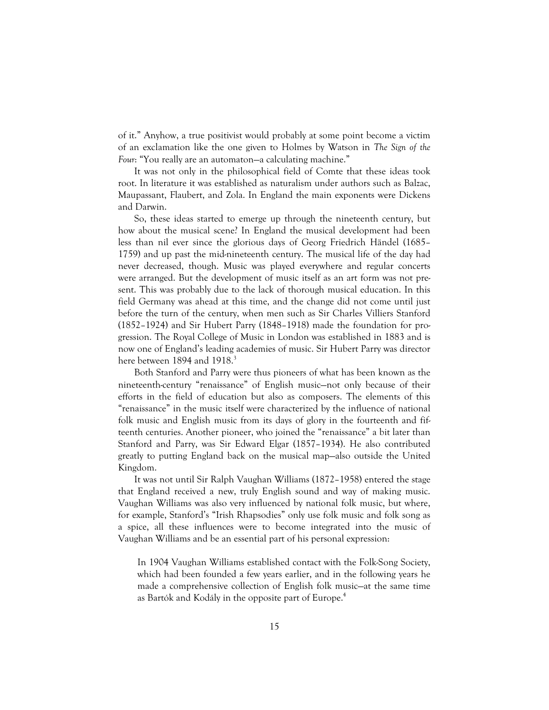of it." Anyhow, a true positivist would probably at some point become a victim of an exclamation like the one given to Holmes by Watson in *The Sign of the Four*: "You really are an automaton—a calculating machine."

It was not only in the philosophical field of Comte that these ideas took root. In literature it was established as naturalism under authors such as Balzac, Maupassant, Flaubert, and Zola. In England the main exponents were Dickens and Darwin.

So, these ideas started to emerge up through the nineteenth century, but how about the musical scene? In England the musical development had been less than nil ever since the glorious days of Georg Friedrich Händel (1685– 1759) and up past the mid-nineteenth century. The musical life of the day had never decreased, though. Music was played everywhere and regular concerts were arranged. But the development of music itself as an art form was not present. This was probably due to the lack of thorough musical education. In this field Germany was ahead at this time, and the change did not come until just before the turn of the century, when men such as Sir Charles Villiers Stanford (1852–1924) and Sir Hubert Parry (1848–1918) made the foundation for progression. The Royal College of Music in London was established in 1883 and is now one of England's leading academies of music. Sir Hubert Parry was director here between 1894 and 1918.<sup>3</sup>

Both Stanford and Parry were thus pioneers of what has been known as the nineteenth-century "renaissance" of English music—not only because of their efforts in the field of education but also as composers. The elements of this "renaissance" in the music itself were characterized by the influence of national folk music and English music from its days of glory in the fourteenth and fifteenth centuries. Another pioneer, who joined the "renaissance" a bit later than Stanford and Parry, was Sir Edward Elgar (1857–1934). He also contributed greatly to putting England back on the musical map—also outside the United Kingdom.

It was not until Sir Ralph Vaughan Williams (1872–1958) entered the stage that England received a new, truly English sound and way of making music. Vaughan Williams was also very influenced by national folk music, but where, for example, Stanford's "Irish Rhapsodies" only use folk music and folk song as a spice, all these influences were to become integrated into the music of Vaughan Williams and be an essential part of his personal expression:

In 1904 Vaughan Williams established contact with the Folk-Song Society, which had been founded a few years earlier, and in the following years he made a comprehensive collection of English folk music—at the same time as Bartók and Kodály in the opposite part of Europe.<sup>4</sup>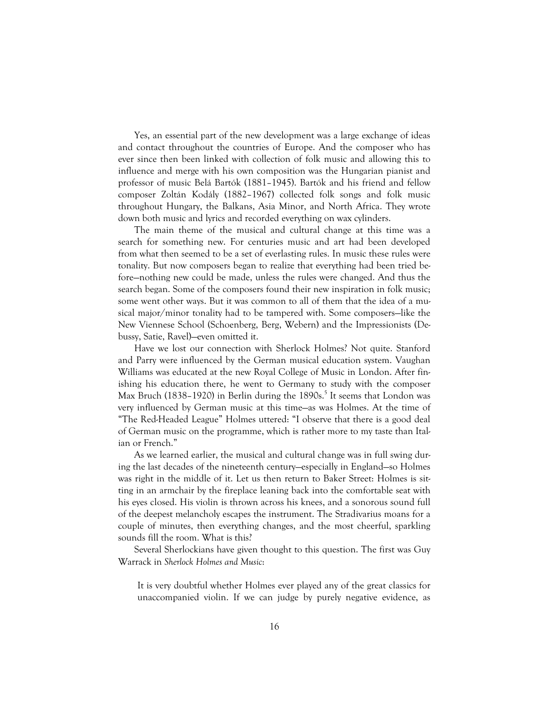Yes, an essential part of the new development was a large exchange of ideas and contact throughout the countries of Europe. And the composer who has ever since then been linked with collection of folk music and allowing this to influence and merge with his own composition was the Hungarian pianist and professor of music Belá Bartók (1881–1945). Bartók and his friend and fellow composer Zoltán Kodály (1882–1967) collected folk songs and folk music throughout Hungary, the Balkans, Asia Minor, and North Africa. They wrote down both music and lyrics and recorded everything on wax cylinders.

The main theme of the musical and cultural change at this time was a search for something new. For centuries music and art had been developed from what then seemed to be a set of everlasting rules. In music these rules were tonality. But now composers began to realize that everything had been tried before—nothing new could be made, unless the rules were changed. And thus the search began. Some of the composers found their new inspiration in folk music; some went other ways. But it was common to all of them that the idea of a musical major/minor tonality had to be tampered with. Some composers—like the New Viennese School (Schoenberg, Berg, Webern) and the Impressionists (Debussy, Satie, Ravel)—even omitted it.

Have we lost our connection with Sherlock Holmes? Not quite. Stanford and Parry were influenced by the German musical education system. Vaughan Williams was educated at the new Royal College of Music in London. After finishing his education there, he went to Germany to study with the composer Max Bruch (1838-1920) in Berlin during the 1890s.<sup>5</sup> It seems that London was very influenced by German music at this time—as was Holmes. At the time of "The Red-Headed League" Holmes uttered: "I observe that there is a good deal of German music on the programme, which is rather more to my taste than Italian or French."

As we learned earlier, the musical and cultural change was in full swing during the last decades of the nineteenth century—especially in England—so Holmes was right in the middle of it. Let us then return to Baker Street: Holmes is sitting in an armchair by the fireplace leaning back into the comfortable seat with his eyes closed. His violin is thrown across his knees, and a sonorous sound full of the deepest melancholy escapes the instrument. The Stradivarius moans for a couple of minutes, then everything changes, and the most cheerful, sparkling sounds fill the room. What is this?

Several Sherlockians have given thought to this question. The first was Guy Warrack in *Sherlock Holmes and Music*:

It is very doubtful whether Holmes ever played any of the great classics for unaccompanied violin. If we can judge by purely negative evidence, as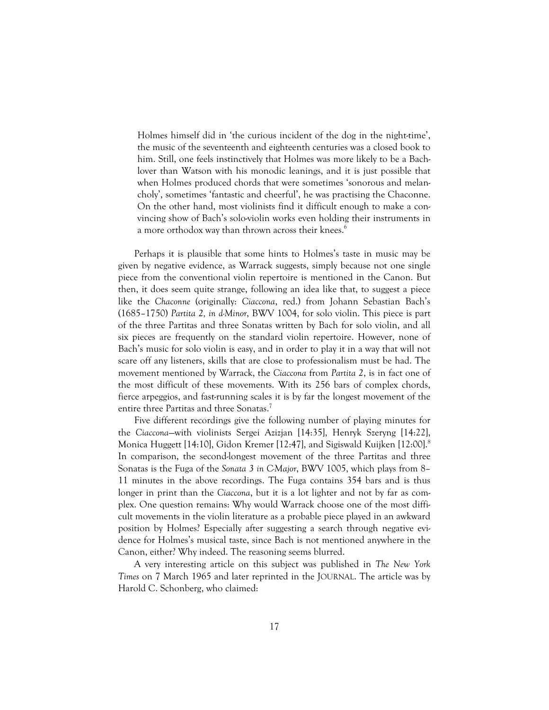Holmes himself did in 'the curious incident of the dog in the night-time', the music of the seventeenth and eighteenth centuries was a closed book to him. Still, one feels instinctively that Holmes was more likely to be a Bachlover than Watson with his monodic leanings, and it is just possible that when Holmes produced chords that were sometimes 'sonorous and melancholy', sometimes 'fantastic and cheerful', he was practising the Chaconne. On the other hand, most violinists find it difficult enough to make a convincing show of Bach's solo-violin works even holding their instruments in a more orthodox way than thrown across their knees.<sup>6</sup>

Perhaps it is plausible that some hints to Holmes's taste in music may be given by negative evidence, as Warrack suggests, simply because not one single piece from the conventional violin repertoire is mentioned in the Canon. But then, it does seem quite strange, following an idea like that, to suggest a piece like the *Chaconne* (originally: *Ciaccona*, red.) from Johann Sebastian Bach's (1685–1750) *Partita 2, in d-Minor*, BWV 1004, for solo violin. This piece is part of the three Partitas and three Sonatas written by Bach for solo violin, and all six pieces are frequently on the standard violin repertoire. However, none of Bach's music for solo violin is easy, and in order to play it in a way that will not scare off any listeners, skills that are close to professionalism must be had. The movement mentioned by Warrack, the *Ciaccona* from *Partita 2*, is in fact one of the most difficult of these movements. With its 256 bars of complex chords, fierce arpeggios, and fast-running scales it is by far the longest movement of the entire three Partitas and three Sonatas.<sup>7</sup>

Five different recordings give the following number of playing minutes for the *Ciaccona*—with violinists Sergei Azizjan [14:35], Henryk Szeryng [14:22], Monica Huggett [14:10], Gidon Kremer [12:47], and Sigiswald Kuijken [12:00].<sup>8</sup> In comparison, the second-longest movement of the three Partitas and three Sonatas is the Fuga of the *Sonata 3 in C-Major*, BWV 1005, which plays from 8– 11 minutes in the above recordings. The Fuga contains 354 bars and is thus longer in print than the *Ciaccona*, but it is a lot lighter and not by far as complex. One question remains: Why would Warrack choose one of the most difficult movements in the violin literature as a probable piece played in an awkward position by Holmes? Especially after suggesting a search through negative evidence for Holmes's musical taste, since Bach is not mentioned anywhere in the Canon, either? Why indeed. The reasoning seems blurred.

A very interesting article on this subject was published in *The New York Times* on 7 March 1965 and later reprinted in the JOURNAL. The article was by Harold C. Schonberg, who claimed: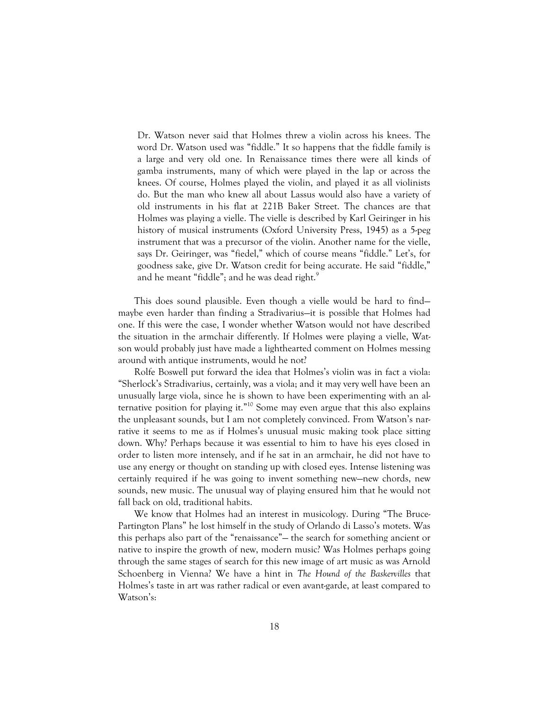Dr. Watson never said that Holmes threw a violin across his knees. The word Dr. Watson used was "fiddle." It so happens that the fiddle family is a large and very old one. In Renaissance times there were all kinds of gamba instruments, many of which were played in the lap or across the knees. Of course, Holmes played the violin, and played it as all violinists do. But the man who knew all about Lassus would also have a variety of old instruments in his flat at 221B Baker Street. The chances are that Holmes was playing a vielle. The vielle is described by Karl Geiringer in his history of musical instruments (Oxford University Press, 1945) as a 5-peg instrument that was a precursor of the violin. Another name for the vielle, says Dr. Geiringer, was "fiedel," which of course means "fiddle." Let's, for goodness sake, give Dr. Watson credit for being accurate. He said "fiddle," and he meant "fiddle"; and he was dead right.<sup>9</sup>

This does sound plausible. Even though a vielle would be hard to find maybe even harder than finding a Stradivarius—it is possible that Holmes had one. If this were the case, I wonder whether Watson would not have described the situation in the armchair differently. If Holmes were playing a vielle, Watson would probably just have made a lighthearted comment on Holmes messing around with antique instruments, would he not?

Rolfe Boswell put forward the idea that Holmes's violin was in fact a viola: "Sherlock's Stradivarius, certainly, was a viola; and it may very well have been an unusually large viola, since he is shown to have been experimenting with an alternative position for playing it."<sup>10</sup> Some may even argue that this also explains the unpleasant sounds, but I am not completely convinced. From Watson's narrative it seems to me as if Holmes's unusual music making took place sitting down. Why? Perhaps because it was essential to him to have his eyes closed in order to listen more intensely, and if he sat in an armchair, he did not have to use any energy or thought on standing up with closed eyes. Intense listening was certainly required if he was going to invent something new—new chords, new sounds, new music. The unusual way of playing ensured him that he would not fall back on old, traditional habits.

We know that Holmes had an interest in musicology. During "The Bruce-Partington Plans" he lost himself in the study of Orlando di Lasso's motets. Was this perhaps also part of the "renaissance"— the search for something ancient or native to inspire the growth of new, modern music? Was Holmes perhaps going through the same stages of search for this new image of art music as was Arnold Schoenberg in Vienna? We have a hint in *The Hound of the Baskervilles* that Holmes's taste in art was rather radical or even avant-garde, at least compared to Watson's: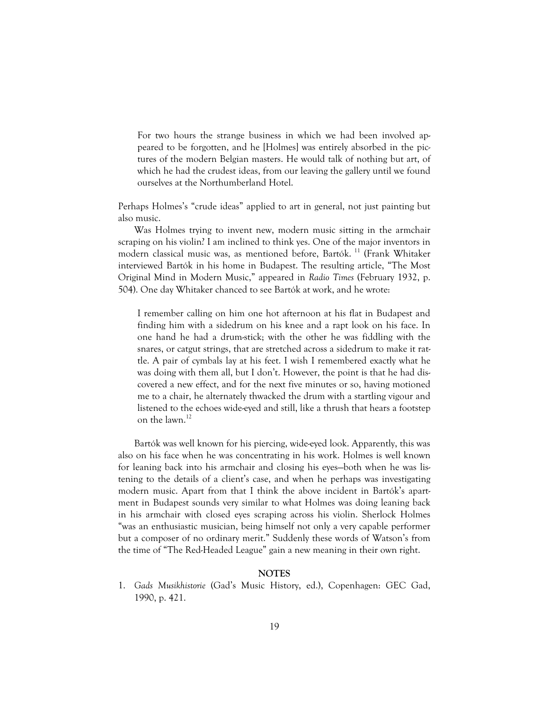For two hours the strange business in which we had been involved appeared to be forgotten, and he [Holmes] was entirely absorbed in the pictures of the modern Belgian masters. He would talk of nothing but art, of which he had the crudest ideas, from our leaving the gallery until we found ourselves at the Northumberland Hotel.

Perhaps Holmes's "crude ideas" applied to art in general, not just painting but also music.

Was Holmes trying to invent new, modern music sitting in the armchair scraping on his violin? I am inclined to think yes. One of the major inventors in modern classical music was, as mentioned before, Bartók. 11 (Frank Whitaker interviewed Bartók in his home in Budapest. The resulting article, "The Most Original Mind in Modern Music," appeared in *Radio Times* (February 1932, p. 504). One day Whitaker chanced to see Bartók at work, and he wrote:

I remember calling on him one hot afternoon at his flat in Budapest and finding him with a sidedrum on his knee and a rapt look on his face. In one hand he had a drum-stick; with the other he was fiddling with the snares, or catgut strings, that are stretched across a sidedrum to make it rattle. A pair of cymbals lay at his feet. I wish I remembered exactly what he was doing with them all, but I don't. However, the point is that he had discovered a new effect, and for the next five minutes or so, having motioned me to a chair, he alternately thwacked the drum with a startling vigour and listened to the echoes wide-eyed and still, like a thrush that hears a footstep on the lawn.<sup>12</sup>

Bartók was well known for his piercing, wide-eyed look. Apparently, this was also on his face when he was concentrating in his work. Holmes is well known for leaning back into his armchair and closing his eyes—both when he was listening to the details of a client's case, and when he perhaps was investigating modern music. Apart from that I think the above incident in Bartók's apartment in Budapest sounds very similar to what Holmes was doing leaning back in his armchair with closed eyes scraping across his violin. Sherlock Holmes "was an enthusiastic musician, being himself not only a very capable performer but a composer of no ordinary merit." Suddenly these words of Watson's from the time of "The Red-Headed League" gain a new meaning in their own right.

## **NOTES**

1. *Gads Musikhistorie* (Gad's Music History, ed.), Copenhagen: GEC Gad, 1990, p. 421.